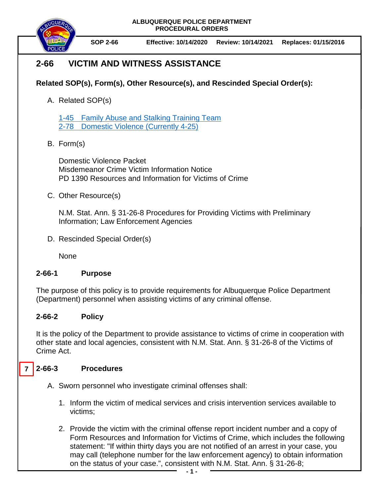**ALBUQUERQUE POLICE DEPARTMENT PROCEDURAL ORDERS**



**SOP 2-66 Effective: 10/14/2020 Review: 10/14/2021 Replaces: 01/15/2016**

# **2-66 VICTIM AND WITNESS ASSISTANCE**

## **Related SOP(s), Form(s), Other Resource(s), and Rescinded Special Order(s):**

A. Related SOP(s)

1-45 [Family Abuse and Stalking Training Team](https://powerdms.com/docs/2037201?q=1-45) [2-78 Domestic Violence](https://powerdms.com/docs/533?q=4-25%20-%20dom) (Currently 4-25)

B. Form(s)

Domestic Violence Packet Misdemeanor Crime Victim Information Notice PD 1390 Resources and Information for Victims of Crime

C. Other Resource(s)

N.M. Stat. Ann. § 31-26-8 Procedures for Providing Victims with Preliminary Information; Law Enforcement Agencies

D. Rescinded Special Order(s)

None

#### **2-66-1 Purpose**

The purpose of this policy is to provide requirements for Albuquerque Police Department (Department) personnel when assisting victims of any criminal offense.

### **2-66-2 Policy**

It is the policy of the Department to provide assistance to victims of crime in cooperation with other state and local agencies, consistent with N.M. Stat. Ann. § 31-26-8 of the Victims of Crime Act.

#### **2-66-3 Procedures 7**

- A. Sworn personnel who investigate criminal offenses shall:
	- 1. Inform the victim of medical services and crisis intervention services available to victims;
	- 2. Provide the victim with the criminal offense report incident number and a copy of Form Resources and Information for Victims of Crime, which includes the following statement: "If within thirty days you are not notified of an arrest in your case, you may call (telephone number for the law enforcement agency) to obtain information on the status of your case.", consistent with N.M. Stat. Ann. § 31-26-8;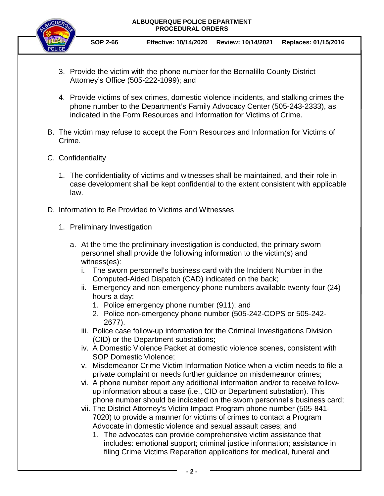**ALBUQUERQUE POLICE DEPARTMENT PROCEDURAL ORDERS**



**SOP 2-66 Effective: 10/14/2020 Review: 10/14/2021 Replaces: 01/15/2016**

- 3. Provide the victim with the phone number for the Bernalillo County District Attorney's Office (505-222-1099); and
- 4. Provide victims of sex crimes, domestic violence incidents, and stalking crimes the phone number to the Department's Family Advocacy Center (505-243-2333), as indicated in the Form Resources and Information for Victims of Crime.
- B. The victim may refuse to accept the Form Resources and Information for Victims of Crime.
- C. Confidentiality
	- 1. The confidentiality of victims and witnesses shall be maintained, and their role in case development shall be kept confidential to the extent consistent with applicable law.
- D. Information to Be Provided to Victims and Witnesses
	- 1. Preliminary Investigation
		- a. At the time the preliminary investigation is conducted, the primary sworn personnel shall provide the following information to the victim(s) and witness(es):
			- i. The sworn personnel's business card with the Incident Number in the Computed-Aided Dispatch (CAD) indicated on the back;
			- ii. Emergency and non-emergency phone numbers available twenty-four (24) hours a day:
				- 1. Police emergency phone number (911); and
				- 2. Police non-emergency phone number (505-242-COPS or 505-242- 2677).
			- iii. Police case follow-up information for the Criminal Investigations Division (CID) or the Department substations;
			- iv. A Domestic Violence Packet at domestic violence scenes, consistent with SOP Domestic Violence;
			- v. Misdemeanor Crime Victim Information Notice when a victim needs to file a private complaint or needs further guidance on misdemeanor crimes;
			- vi. A phone number report any additional information and/or to receive followup information about a case (i.e., CID or Department substation). This phone number should be indicated on the sworn personnel's business card;
			- vii. The District Attorney's Victim Impact Program phone number (505-841- 7020) to provide a manner for victims of crimes to contact a Program Advocate in domestic violence and sexual assault cases; and
				- 1. The advocates can provide comprehensive victim assistance that includes: emotional support; criminal justice information; assistance in filing Crime Victims Reparation applications for medical, funeral and